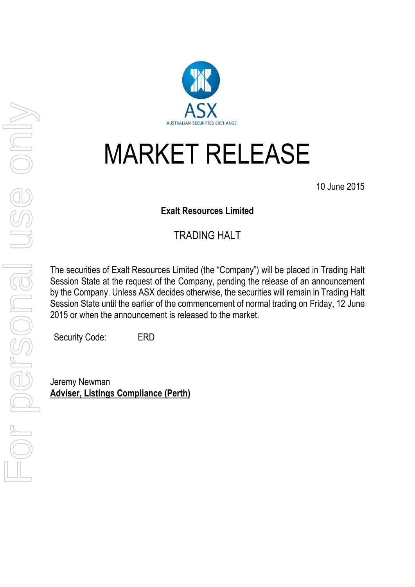

## MARKET RELEASE

10 June 2015

## **Exalt Resources Limited**

## TRADING HALT

The securities of Exalt Resources Limited (the "Company") will be placed in Trading Halt Session State at the request of the Company, pending the release of an announcement by the Company. Unless ASX decides otherwise, the securities will remain in Trading Halt Session State until the earlier of the commencement of normal trading on Friday, 12 June 2015 or when the announcement is released to the market.

Security Code: ERD

Jeremy Newman **Adviser, Listings Compliance (Perth)**